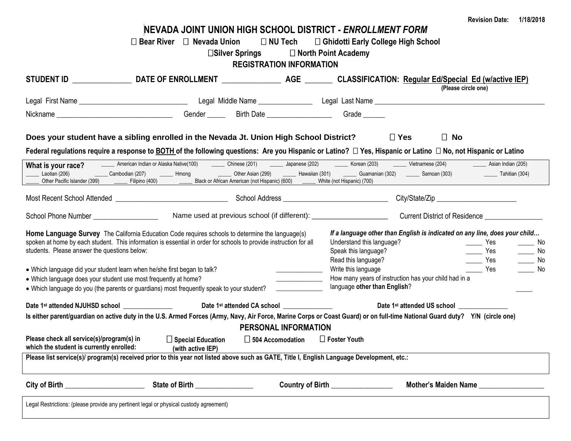|                                                                                                                                                                                                                                      |                                                                                                                                                                                                                                                                                |                                                             |                                                                              |                                                                            | <b>Revision Date:</b><br>1/18/2018                                       |  |
|--------------------------------------------------------------------------------------------------------------------------------------------------------------------------------------------------------------------------------------|--------------------------------------------------------------------------------------------------------------------------------------------------------------------------------------------------------------------------------------------------------------------------------|-------------------------------------------------------------|------------------------------------------------------------------------------|----------------------------------------------------------------------------|--------------------------------------------------------------------------|--|
|                                                                                                                                                                                                                                      | NEVADA JOINT UNION HIGH SCHOOL DISTRICT - ENROLLMENT FORM                                                                                                                                                                                                                      |                                                             |                                                                              |                                                                            |                                                                          |  |
|                                                                                                                                                                                                                                      | $\Box$ Bear River $\Box$ Nevada Union                                                                                                                                                                                                                                          |                                                             | □ NU Tech □ Ghidotti Early College High School<br>$\Box$ North Point Academy |                                                                            |                                                                          |  |
|                                                                                                                                                                                                                                      |                                                                                                                                                                                                                                                                                | $\square$ Silver Springs<br><b>REGISTRATION INFORMATION</b> |                                                                              |                                                                            |                                                                          |  |
|                                                                                                                                                                                                                                      |                                                                                                                                                                                                                                                                                |                                                             |                                                                              |                                                                            |                                                                          |  |
|                                                                                                                                                                                                                                      |                                                                                                                                                                                                                                                                                |                                                             |                                                                              | (Please circle one)                                                        |                                                                          |  |
|                                                                                                                                                                                                                                      |                                                                                                                                                                                                                                                                                |                                                             |                                                                              |                                                                            |                                                                          |  |
|                                                                                                                                                                                                                                      |                                                                                                                                                                                                                                                                                |                                                             |                                                                              |                                                                            |                                                                          |  |
|                                                                                                                                                                                                                                      |                                                                                                                                                                                                                                                                                |                                                             |                                                                              |                                                                            |                                                                          |  |
| Does your student have a sibling enrolled in the Nevada Jt. Union High School District?                                                                                                                                              |                                                                                                                                                                                                                                                                                |                                                             |                                                                              | $\Box$ Yes<br>$\Box$ No                                                    |                                                                          |  |
|                                                                                                                                                                                                                                      |                                                                                                                                                                                                                                                                                |                                                             |                                                                              |                                                                            |                                                                          |  |
| Federal regulations require a response to BOTH of the following questions: Are you Hispanic or Latino? $\Box$ Yes, Hispanic or Latino $\Box$ No, not Hispanic or Latino                                                              |                                                                                                                                                                                                                                                                                |                                                             |                                                                              |                                                                            |                                                                          |  |
| What is your race?<br>Laotian (206)                                                                                                                                                                                                  | American Indian or Alaska Native(100) _________ Chinese (201) __________ Japanese (202) ________ Korean (203) _______ Vietnamese (204)<br>_____ Cambodian (207)   _____ Hmong      _____ Other Asian (299)   _____ Hawaiian (301)   _____ Guamanian (302)   _____ Samoan (303) |                                                             |                                                                              |                                                                            | Asian Indian (205)<br>$\frac{1}{2}$ Tahitian (304)                       |  |
|                                                                                                                                                                                                                                      |                                                                                                                                                                                                                                                                                |                                                             |                                                                              |                                                                            |                                                                          |  |
| Most Recent School Attended <b>Construction</b> School Address <b>Construction</b> City/State/Zip City/State/Zip                                                                                                                     |                                                                                                                                                                                                                                                                                |                                                             |                                                                              |                                                                            |                                                                          |  |
|                                                                                                                                                                                                                                      |                                                                                                                                                                                                                                                                                |                                                             |                                                                              |                                                                            |                                                                          |  |
|                                                                                                                                                                                                                                      |                                                                                                                                                                                                                                                                                |                                                             |                                                                              |                                                                            |                                                                          |  |
| Home Language Survey The California Education Code requires schools to determine the language(s)                                                                                                                                     |                                                                                                                                                                                                                                                                                |                                                             |                                                                              | If a language other than English is indicated on any line, does your child |                                                                          |  |
| spoken at home by each student. This information is essential in order for schools to provide instruction for all                                                                                                                    |                                                                                                                                                                                                                                                                                |                                                             | Understand this language?                                                    |                                                                            | $\rule{1em}{0.15mm}$ Yes<br>a a No                                       |  |
| students. Please answer the questions below:                                                                                                                                                                                         |                                                                                                                                                                                                                                                                                |                                                             | Speak this language?                                                         |                                                                            | $\rule{1em}{0.15mm}$ Yes<br>$\overline{\phantom{0}}$ No                  |  |
|                                                                                                                                                                                                                                      |                                                                                                                                                                                                                                                                                |                                                             | Read this language?<br>Write this language                                   |                                                                            | $\overline{\phantom{a}}$ Yes<br>No<br>$\overline{\phantom{a}}$ Yes<br>No |  |
| • Which language did your student learn when he/she first began to talk?<br>• Which language does your student use most frequently at home?                                                                                          |                                                                                                                                                                                                                                                                                |                                                             |                                                                              | How many years of instruction has your child had in a                      |                                                                          |  |
| • Which language do you (the parents or guardians) most frequently speak to your student?                                                                                                                                            |                                                                                                                                                                                                                                                                                |                                                             | language other than English?                                                 |                                                                            |                                                                          |  |
|                                                                                                                                                                                                                                      |                                                                                                                                                                                                                                                                                |                                                             |                                                                              |                                                                            |                                                                          |  |
| Date 1 <sup>st</sup> attended NJUHSD school                                                                                                                                                                                          |                                                                                                                                                                                                                                                                                | Date 1st attended CA school _______________                 |                                                                              | Date 1st attended US school ___________                                    |                                                                          |  |
| Is either parent/guardian on active duty in the U.S. Armed Forces (Army, Navy, Air Force, Marine Corps or Coast Guard) or on full-time National Guard duty? Y/N (circle one)<br>PERSONAL INFORMATION                                 |                                                                                                                                                                                                                                                                                |                                                             |                                                                              |                                                                            |                                                                          |  |
| Please check all service(s)/program(s) in                                                                                                                                                                                            | $\Box$ Special Education                                                                                                                                                                                                                                                       | $\Box$ 504 Accomodation $\Box$ Foster Youth                 |                                                                              |                                                                            |                                                                          |  |
| which the student is currently enrolled:                                                                                                                                                                                             | (with active IEP)                                                                                                                                                                                                                                                              |                                                             |                                                                              |                                                                            |                                                                          |  |
| Please list service(s)/ program(s) received prior to this year not listed above such as GATE, Title I, English Language Development, etc.:                                                                                           |                                                                                                                                                                                                                                                                                |                                                             |                                                                              |                                                                            |                                                                          |  |
| City of Birth <u>and the state of the state of the state of the state of the state of the state of the state of the state of the state of the state of the state of the state of the state of the state of the state of the stat</u> | State of Birth _______________                                                                                                                                                                                                                                                 |                                                             | Country of Birth _______________                                             |                                                                            | Mother's Maiden Name                                                     |  |
| Legal Restrictions: (please provide any pertinent legal or physical custody agreement)                                                                                                                                               |                                                                                                                                                                                                                                                                                |                                                             |                                                                              |                                                                            |                                                                          |  |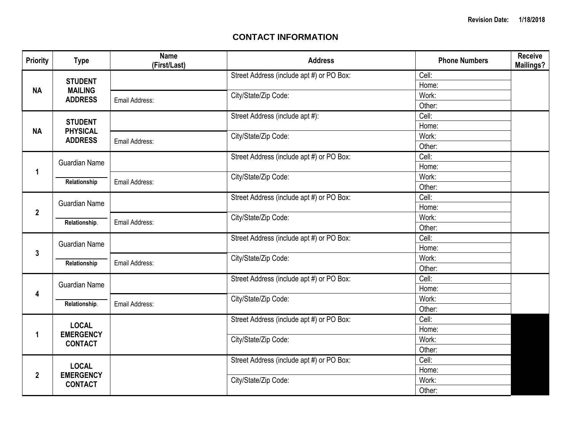## **CONTACT INFORMATION**

| <b>Priority</b>                                                        | <b>Type</b>                       | <b>Name</b><br>(First/Last) | <b>Address</b>                            | <b>Phone Numbers</b> | Receive<br><b>Mailings?</b> |  |
|------------------------------------------------------------------------|-----------------------------------|-----------------------------|-------------------------------------------|----------------------|-----------------------------|--|
| <b>STUDENT</b><br><b>MAILING</b><br><b>NA</b>                          |                                   |                             | Street Address (include apt #) or PO Box: | Cell:                |                             |  |
|                                                                        |                                   |                             | Home:                                     |                      |                             |  |
|                                                                        | <b>ADDRESS</b>                    | Email Address:              | City/State/Zip Code:                      | Work:                |                             |  |
|                                                                        |                                   |                             |                                           | Other:               |                             |  |
|                                                                        | <b>STUDENT</b>                    |                             | Street Address (include apt #):           | Cell:                |                             |  |
| <b>NA</b>                                                              | <b>PHYSICAL</b><br><b>ADDRESS</b> |                             |                                           | Home:                |                             |  |
|                                                                        |                                   | Email Address:              | City/State/Zip Code:                      | Work:                |                             |  |
|                                                                        |                                   |                             |                                           | Other:               |                             |  |
|                                                                        | <b>Guardian Name</b>              |                             | Street Address (include apt #) or PO Box: | Cell:                |                             |  |
| $\mathbf 1$                                                            |                                   |                             |                                           | Home:                |                             |  |
|                                                                        | Relationship                      | Email Address:              | City/State/Zip Code:                      | Work:                |                             |  |
|                                                                        |                                   |                             |                                           | Other:               |                             |  |
| <b>Guardian Name</b><br>$\mathbf{2}$                                   |                                   |                             | Street Address (include apt #) or PO Box: | Cell:                |                             |  |
|                                                                        |                                   |                             |                                           | Home:                |                             |  |
|                                                                        | Relationship.                     | Email Address:              | City/State/Zip Code:                      | Work:                |                             |  |
|                                                                        |                                   |                             |                                           | Other:               |                             |  |
|                                                                        | <b>Guardian Name</b>              |                             | Street Address (include apt #) or PO Box: | Cell:                |                             |  |
| $\mathbf{3}$                                                           |                                   |                             |                                           | Home:                |                             |  |
|                                                                        | Relationship                      | Email Address:              | City/State/Zip Code:                      | Work:                |                             |  |
|                                                                        |                                   |                             |                                           | Other:               |                             |  |
|                                                                        | <b>Guardian Name</b>              |                             | Street Address (include apt #) or PO Box: | Cell:                |                             |  |
| 4                                                                      |                                   |                             |                                           |                      | Home:                       |  |
|                                                                        | Relationship.                     | Email Address:              | City/State/Zip Code:                      | Work:                |                             |  |
|                                                                        |                                   |                             |                                           | Other:               |                             |  |
| <b>LOCAL</b><br><b>EMERGENCY</b><br>1<br><b>CONTACT</b>                |                                   |                             | Street Address (include apt #) or PO Box: | Cell:                |                             |  |
|                                                                        |                                   |                             |                                           | Home:                |                             |  |
|                                                                        |                                   |                             | City/State/Zip Code:                      | Work:                |                             |  |
|                                                                        |                                   |                             |                                           | Other:               |                             |  |
| <b>LOCAL</b><br><b>EMERGENCY</b><br>$\boldsymbol{2}$<br><b>CONTACT</b> |                                   |                             | Street Address (include apt #) or PO Box: | Cell:                |                             |  |
|                                                                        |                                   |                             | Home:                                     |                      |                             |  |
|                                                                        |                                   | City/State/Zip Code:        | Work:                                     |                      |                             |  |
|                                                                        |                                   |                             | Other:                                    |                      |                             |  |